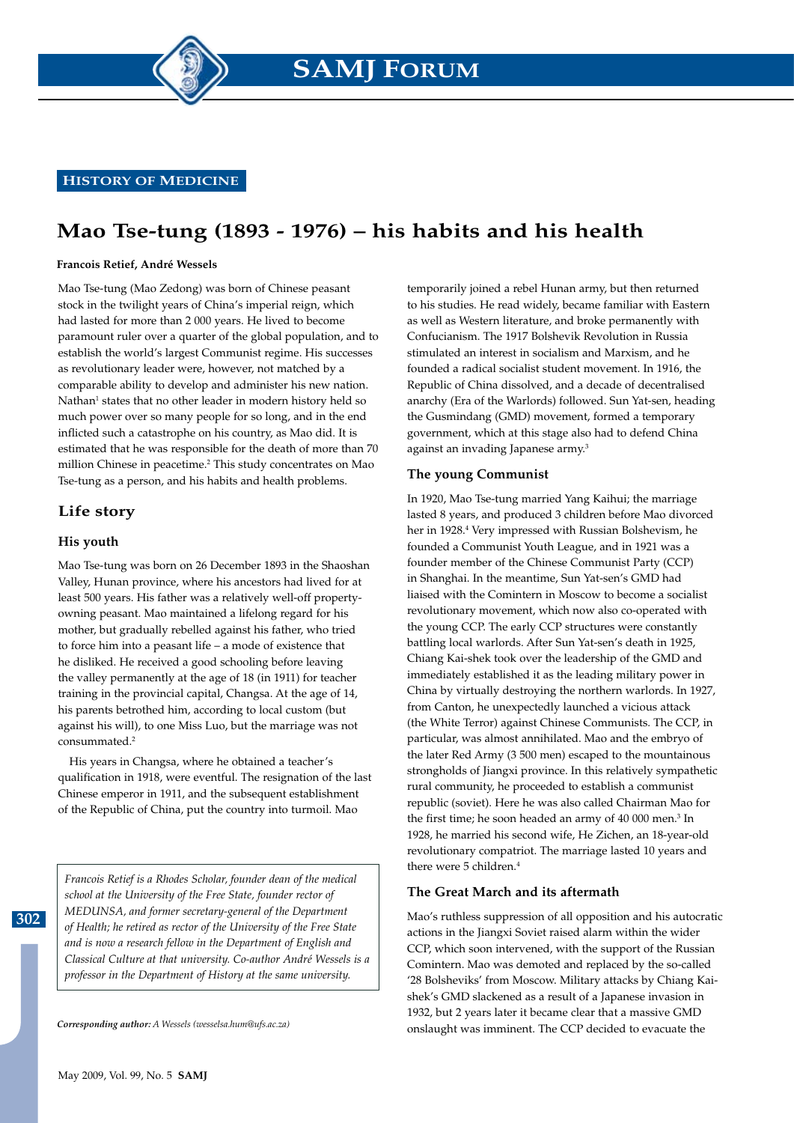**HISTORY OF MEDICINE**

# **Mao Tse-tung (1893 - 1976) – his habits and his health**

#### **Francois Retief, André Wessels**

Mao Tse-tung (Mao Zedong) was born of Chinese peasant stock in the twilight years of China's imperial reign, which had lasted for more than 2 000 years. He lived to become paramount ruler over a quarter of the global population, and to establish the world's largest Communist regime. His successes as revolutionary leader were, however, not matched by a comparable ability to develop and administer his new nation. Nathan<sup>1</sup> states that no other leader in modern history held so much power over so many people for so long, and in the end inflicted such a catastrophe on his country, as Mao did. It is estimated that he was responsible for the death of more than 70 million Chinese in peacetime.<sup>2</sup> This study concentrates on Mao Tse-tung as a person, and his habits and health problems.

## **Life story**

#### **His youth**

**302**

Mao Tse-tung was born on 26 December 1893 in the Shaoshan Valley, Hunan province, where his ancestors had lived for at least 500 years. His father was a relatively well-off propertyowning peasant. Mao maintained a lifelong regard for his mother, but gradually rebelled against his father, who tried to force him into a peasant life – a mode of existence that he disliked. He received a good schooling before leaving the valley permanently at the age of 18 (in 1911) for teacher training in the provincial capital, Changsa. At the age of 14, his parents betrothed him, according to local custom (but against his will), to one Miss Luo, but the marriage was not consummated.2

His years in Changsa, where he obtained a teacher's qualification in 1918, were eventful. The resignation of the last Chinese emperor in 1911, and the subsequent establishment of the Republic of China, put the country into turmoil. Mao

*Francois Retief is a Rhodes Scholar, founder dean of the medical school at the University of the Free State, founder rector of MEDUNSA, and former secretary-general of the Department of Health; he retired as rector of the University of the Free State and is now a research fellow in the Department of English and Classical Culture at that university. Co-author André Wessels is a professor in the Department of History at the same university.*

temporarily joined a rebel Hunan army, but then returned to his studies. He read widely, became familiar with Eastern as well as Western literature, and broke permanently with Confucianism. The 1917 Bolshevik Revolution in Russia stimulated an interest in socialism and Marxism, and he founded a radical socialist student movement. In 1916, the Republic of China dissolved, and a decade of decentralised anarchy (Era of the Warlords) followed. Sun Yat-sen, heading the Gusmindang (GMD) movement, formed a temporary government, which at this stage also had to defend China against an invading Japanese army.<sup>3</sup>

#### **The young Communist**

In 1920, Mao Tse-tung married Yang Kaihui; the marriage lasted 8 years, and produced 3 children before Mao divorced her in 1928.<sup>4</sup> Very impressed with Russian Bolshevism, he founded a Communist Youth League, and in 1921 was a founder member of the Chinese Communist Party (CCP) in Shanghai. In the meantime, Sun Yat-sen's GMD had liaised with the Comintern in Moscow to become a socialist revolutionary movement, which now also co-operated with the young CCP. The early CCP structures were constantly battling local warlords. After Sun Yat-sen's death in 1925, Chiang Kai-shek took over the leadership of the GMD and immediately established it as the leading military power in China by virtually destroying the northern warlords. In 1927, from Canton, he unexpectedly launched a vicious attack (the White Terror) against Chinese Communists. The CCP, in particular, was almost annihilated. Mao and the embryo of the later Red Army (3 500 men) escaped to the mountainous strongholds of Jiangxi province. In this relatively sympathetic rural community, he proceeded to establish a communist republic (soviet). Here he was also called Chairman Mao for the first time; he soon headed an army of 40 000 men.<sup>3</sup> In 1928, he married his second wife, He Zichen, an 18-year-old revolutionary compatriot. The marriage lasted 10 years and there were 5 children.<sup>4</sup>

#### **The Great March and its aftermath**

Mao's ruthless suppression of all opposition and his autocratic actions in the Jiangxi Soviet raised alarm within the wider CCP, which soon intervened, with the support of the Russian Comintern. Mao was demoted and replaced by the so-called '28 Bolsheviks' from Moscow. Military attacks by Chiang Kaishek's GMD slackened as a result of a Japanese invasion in 1932, but 2 years later it became clear that a massive GMD onslaught was imminent. The CCP decided to evacuate the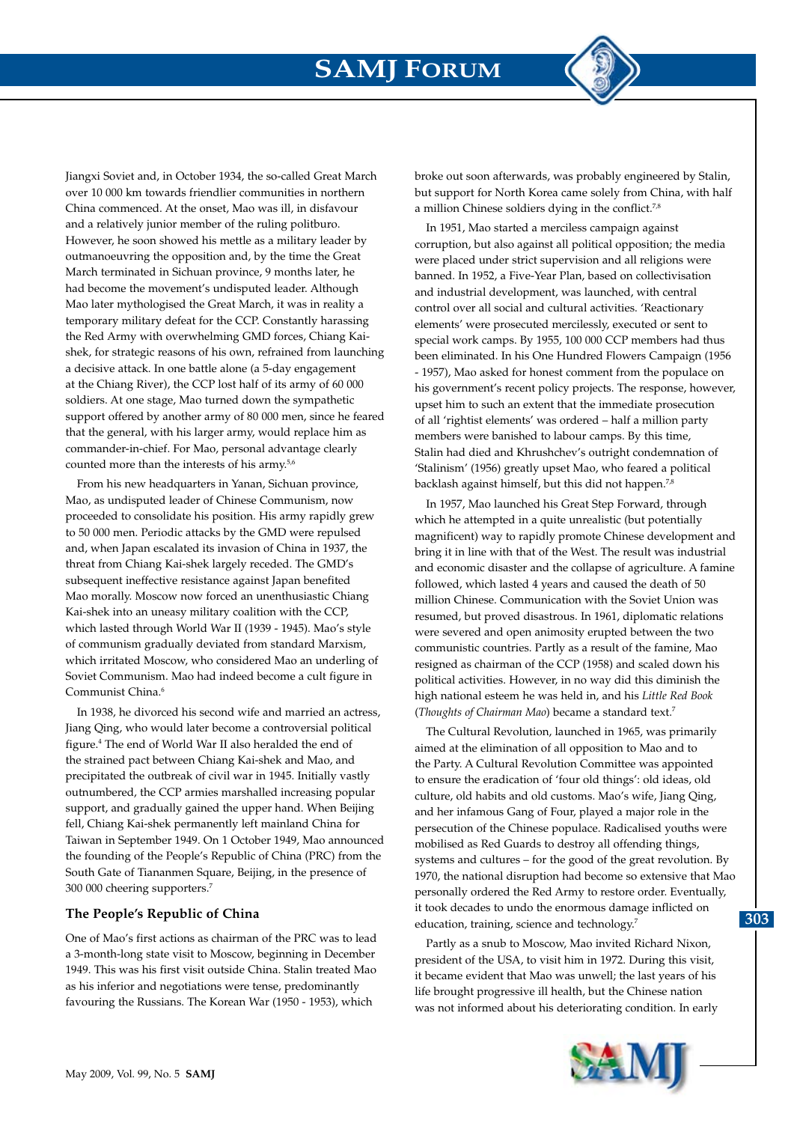

Jiangxi Soviet and, in October 1934, the so-called Great March over 10 000 km towards friendlier communities in northern China commenced. At the onset, Mao was ill, in disfavour and a relatively junior member of the ruling politburo. However, he soon showed his mettle as a military leader by outmanoeuvring the opposition and, by the time the Great March terminated in Sichuan province, 9 months later, he had become the movement's undisputed leader. Although Mao later mythologised the Great March, it was in reality a temporary military defeat for the CCP. Constantly harassing the Red Army with overwhelming GMD forces, Chiang Kaishek, for strategic reasons of his own, refrained from launching a decisive attack. In one battle alone (a 5-day engagement at the Chiang River), the CCP lost half of its army of 60 000 soldiers. At one stage, Mao turned down the sympathetic support offered by another army of 80 000 men, since he feared that the general, with his larger army, would replace him as commander-in-chief. For Mao, personal advantage clearly counted more than the interests of his army.5,6

From his new headquarters in Yanan, Sichuan province, Mao, as undisputed leader of Chinese Communism, now proceeded to consolidate his position. His army rapidly grew to 50 000 men. Periodic attacks by the GMD were repulsed and, when Japan escalated its invasion of China in 1937, the threat from Chiang Kai-shek largely receded. The GMD's subsequent ineffective resistance against Japan benefited Mao morally. Moscow now forced an unenthusiastic Chiang Kai-shek into an uneasy military coalition with the CCP, which lasted through World War II (1939 - 1945). Mao's style of communism gradually deviated from standard Marxism, which irritated Moscow, who considered Mao an underling of Soviet Communism. Mao had indeed become a cult figure in Communist China.6

In 1938, he divorced his second wife and married an actress, Jiang Qing, who would later become a controversial political figure.4 The end of World War II also heralded the end of the strained pact between Chiang Kai-shek and Mao, and precipitated the outbreak of civil war in 1945. Initially vastly outnumbered, the CCP armies marshalled increasing popular support, and gradually gained the upper hand. When Beijing fell, Chiang Kai-shek permanently left mainland China for Taiwan in September 1949. On 1 October 1949, Mao announced the founding of the People's Republic of China (PRC) from the South Gate of Tiananmen Square, Beijing, in the presence of 300 000 cheering supporters.7

#### **The People's Republic of China**

One of Mao's first actions as chairman of the PRC was to lead a 3-month-long state visit to Moscow, beginning in December 1949. This was his first visit outside China. Stalin treated Mao as his inferior and negotiations were tense, predominantly favouring the Russians. The Korean War (1950 - 1953), which

broke out soon afterwards, was probably engineered by Stalin, but support for North Korea came solely from China, with half a million Chinese soldiers dying in the conflict.<sup>7,8</sup>

In 1951, Mao started a merciless campaign against corruption, but also against all political opposition; the media were placed under strict supervision and all religions were banned. In 1952, a Five-Year Plan, based on collectivisation and industrial development, was launched, with central control over all social and cultural activities. 'Reactionary elements' were prosecuted mercilessly, executed or sent to special work camps. By 1955, 100 000 CCP members had thus been eliminated. In his One Hundred Flowers Campaign (1956 - 1957), Mao asked for honest comment from the populace on his government's recent policy projects. The response, however, upset him to such an extent that the immediate prosecution of all 'rightist elements' was ordered – half a million party members were banished to labour camps. By this time, Stalin had died and Khrushchev's outright condemnation of 'Stalinism' (1956) greatly upset Mao, who feared a political backlash against himself, but this did not happen.<sup>7,8</sup>

In 1957, Mao launched his Great Step Forward, through which he attempted in a quite unrealistic (but potentially magnificent) way to rapidly promote Chinese development and bring it in line with that of the West. The result was industrial and economic disaster and the collapse of agriculture. A famine followed, which lasted 4 years and caused the death of 50 million Chinese. Communication with the Soviet Union was resumed, but proved disastrous. In 1961, diplomatic relations were severed and open animosity erupted between the two communistic countries. Partly as a result of the famine, Mao resigned as chairman of the CCP (1958) and scaled down his political activities. However, in no way did this diminish the high national esteem he was held in, and his *Little Red Book* (*Thoughts of Chairman Mao*) became a standard text.7

The Cultural Revolution, launched in 1965, was primarily aimed at the elimination of all opposition to Mao and to the Party. A Cultural Revolution Committee was appointed to ensure the eradication of 'four old things': old ideas, old culture, old habits and old customs. Mao's wife, Jiang Qing, and her infamous Gang of Four, played a major role in the persecution of the Chinese populace. Radicalised youths were mobilised as Red Guards to destroy all offending things, systems and cultures – for the good of the great revolution. By 1970, the national disruption had become so extensive that Mao personally ordered the Red Army to restore order. Eventually, it took decades to undo the enormous damage inflicted on education, training, science and technology.<sup>7</sup>

Partly as a snub to Moscow, Mao invited Richard Nixon, president of the USA, to visit him in 1972. During this visit, it became evident that Mao was unwell; the last years of his life brought progressive ill health, but the Chinese nation was not informed about his deteriorating condition. In early

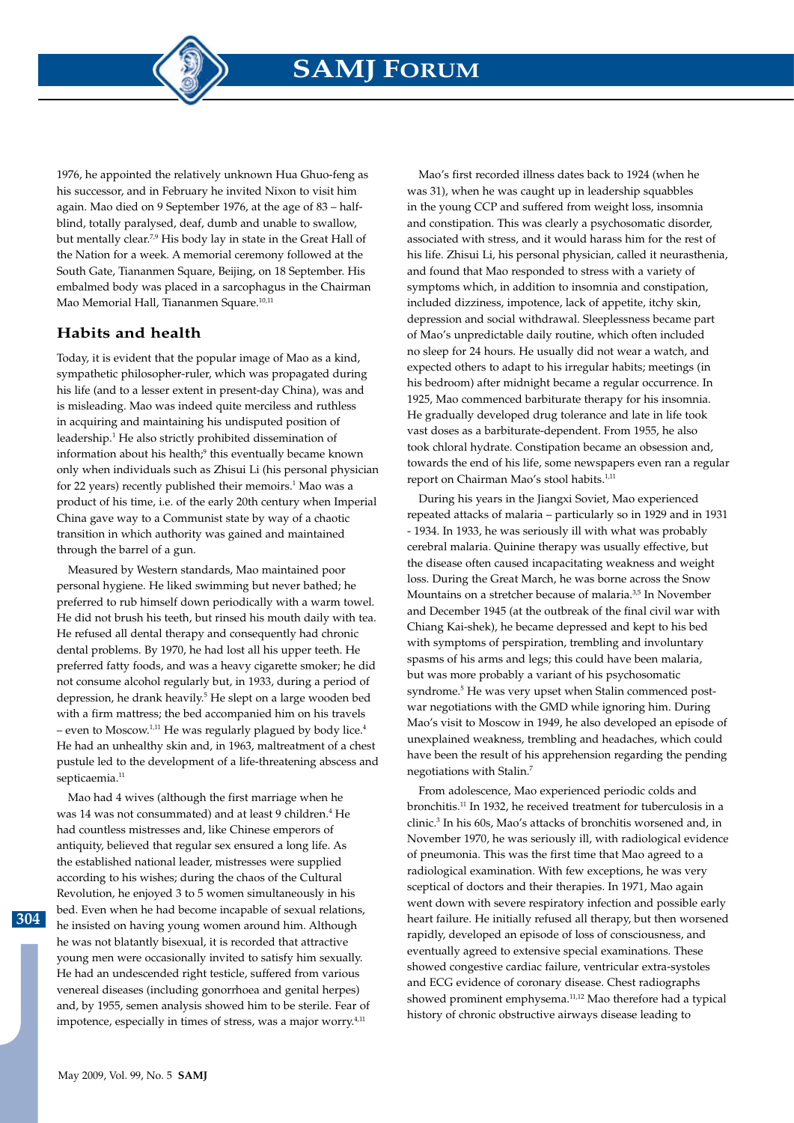1976, he appointed the relatively unknown Hua Ghuo-feng as his successor, and in February he invited Nixon to visit him again. Mao died on 9 September 1976, at the age of 83 – halfblind, totally paralysed, deaf, dumb and unable to swallow, but mentally clear.7,9 His body lay in state in the Great Hall of the Nation for a week. A memorial ceremony followed at the South Gate, Tiananmen Square, Beijing, on 18 September. His embalmed body was placed in a sarcophagus in the Chairman Mao Memorial Hall, Tiananmen Square.10,11

### **Habits and health**

Today, it is evident that the popular image of Mao as a kind, sympathetic philosopher-ruler, which was propagated during his life (and to a lesser extent in present-day China), was and is misleading. Mao was indeed quite merciless and ruthless in acquiring and maintaining his undisputed position of leadership.<sup>1</sup> He also strictly prohibited dissemination of information about his health;<sup>9</sup> this eventually became known only when individuals such as Zhisui Li (his personal physician for 22 years) recently published their memoirs.<sup>1</sup> Mao was a product of his time, i.e. of the early 20th century when Imperial China gave way to a Communist state by way of a chaotic transition in which authority was gained and maintained through the barrel of a gun.

Measured by Western standards, Mao maintained poor personal hygiene. He liked swimming but never bathed; he preferred to rub himself down periodically with a warm towel. He did not brush his teeth, but rinsed his mouth daily with tea. He refused all dental therapy and consequently had chronic dental problems. By 1970, he had lost all his upper teeth. He preferred fatty foods, and was a heavy cigarette smoker; he did not consume alcohol regularly but, in 1933, during a period of depression, he drank heavily.<sup>5</sup> He slept on a large wooden bed with a firm mattress; the bed accompanied him on his travels – even to Moscow.<sup>1,11</sup> He was regularly plagued by body lice.<sup>4</sup> He had an unhealthy skin and, in 1963, maltreatment of a chest pustule led to the development of a life-threatening abscess and septicaemia.<sup>11</sup>

Mao had 4 wives (although the first marriage when he was 14 was not consummated) and at least 9 children.<sup>4</sup> He had countless mistresses and, like Chinese emperors of antiquity, believed that regular sex ensured a long life. As the established national leader, mistresses were supplied according to his wishes; during the chaos of the Cultural Revolution, he enjoyed 3 to 5 women simultaneously in his bed. Even when he had become incapable of sexual relations, he insisted on having young women around him. Although he was not blatantly bisexual, it is recorded that attractive young men were occasionally invited to satisfy him sexually. He had an undescended right testicle, suffered from various venereal diseases (including gonorrhoea and genital herpes) and, by 1955, semen analysis showed him to be sterile. Fear of impotence, especially in times of stress, was a major worry.<sup>4,11</sup>

Mao's first recorded illness dates back to 1924 (when he was 31), when he was caught up in leadership squabbles in the young CCP and suffered from weight loss, insomnia and constipation. This was clearly a psychosomatic disorder, associated with stress, and it would harass him for the rest of his life. Zhisui Li, his personal physician, called it neurasthenia, and found that Mao responded to stress with a variety of symptoms which, in addition to insomnia and constipation, included dizziness, impotence, lack of appetite, itchy skin, depression and social withdrawal. Sleeplessness became part of Mao's unpredictable daily routine, which often included no sleep for 24 hours. He usually did not wear a watch, and expected others to adapt to his irregular habits; meetings (in his bedroom) after midnight became a regular occurrence. In 1925, Mao commenced barbiturate therapy for his insomnia. He gradually developed drug tolerance and late in life took vast doses as a barbiturate-dependent. From 1955, he also took chloral hydrate. Constipation became an obsession and, towards the end of his life, some newspapers even ran a regular report on Chairman Mao's stool habits.<sup>1,11</sup>

During his years in the Jiangxi Soviet, Mao experienced repeated attacks of malaria – particularly so in 1929 and in 1931 - 1934. In 1933, he was seriously ill with what was probably cerebral malaria. Quinine therapy was usually effective, but the disease often caused incapacitating weakness and weight loss. During the Great March, he was borne across the Snow Mountains on a stretcher because of malaria.<sup>3,5</sup> In November and December 1945 (at the outbreak of the final civil war with Chiang Kai-shek), he became depressed and kept to his bed with symptoms of perspiration, trembling and involuntary spasms of his arms and legs; this could have been malaria, but was more probably a variant of his psychosomatic syndrome.<sup>5</sup> He was very upset when Stalin commenced postwar negotiations with the GMD while ignoring him. During Mao's visit to Moscow in 1949, he also developed an episode of unexplained weakness, trembling and headaches, which could have been the result of his apprehension regarding the pending negotiations with Stalin.7

From adolescence, Mao experienced periodic colds and bronchitis.11 In 1932, he received treatment for tuberculosis in a clinic.3 In his 60s, Mao's attacks of bronchitis worsened and, in November 1970, he was seriously ill, with radiological evidence of pneumonia. This was the first time that Mao agreed to a radiological examination. With few exceptions, he was very sceptical of doctors and their therapies. In 1971, Mao again went down with severe respiratory infection and possible early heart failure. He initially refused all therapy, but then worsened rapidly, developed an episode of loss of consciousness, and eventually agreed to extensive special examinations. These showed congestive cardiac failure, ventricular extra-systoles and ECG evidence of coronary disease. Chest radiographs showed prominent emphysema.<sup>11,12</sup> Mao therefore had a typical history of chronic obstructive airways disease leading to

**304**